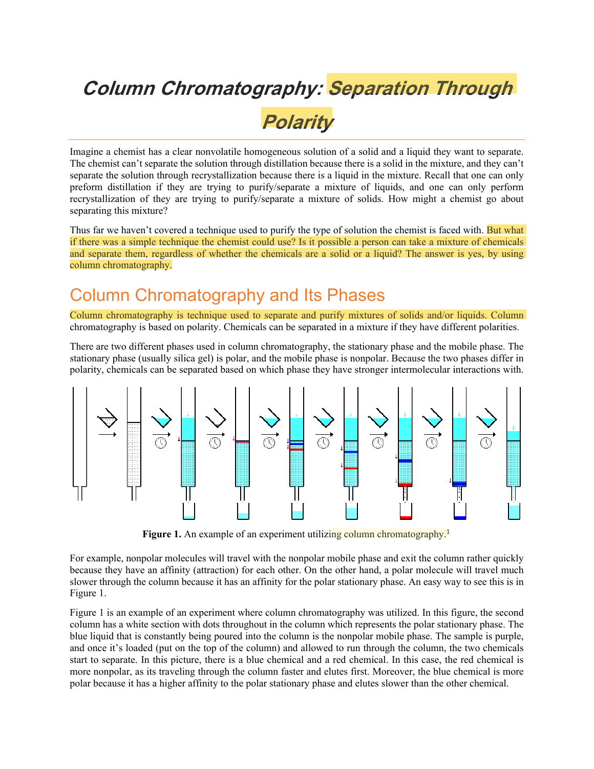# *Column Chromatography: Separation Through Polarity*

Imagine a chemist has a clear nonvolatile homogeneous solution of a solid and a liquid they want to separate. The chemist can't separate the solution through distillation because there is a solid in the mixture, and they can't separate the solution through recrystallization because there is a liquid in the mixture. Recall that one can only preform distillation if they are trying to purify/separate a mixture of liquids, and one can only perform recrystallization of they are trying to purify/separate a mixture of solids. How might a chemist go about separating this mixture?

Thus far we haven't covered a technique used to purify the type of solution the chemist is faced with. But what if there was a simple technique the chemist could use? Is it possible a person can take a mixture of chemicals and separate them, regardless of whether the chemicals are a solid or a liquid? The answer is yes, by using column chromatography.

## Column Chromatography and Its Phases

Column chromatography is technique used to separate and purify mixtures of solids and/or liquids. Column chromatography is based on polarity. Chemicals can be separated in a mixture if they have different polarities.

There are two different phases used in column chromatography, the stationary phase and the mobile phase. The stationary phase (usually silica gel) is polar, and the mobile phase is nonpolar. Because the two phases differ in polarity, chemicals can be separated based on which phase they have stronger intermolecular interactions with.



Figure 1. An example of an experiment utilizing column chromatography.<sup>1</sup>

For example, nonpolar molecules will travel with the nonpolar mobile phase and exit the column rather quickly because they have an affinity (attraction) for each other. On the other hand, a polar molecule will travel much slower through the column because it has an affinity for the polar stationary phase. An easy way to see this is in Figure 1.

Figure 1 is an example of an experiment where column chromatography was utilized. In this figure, the second column has a white section with dots throughout in the column which represents the polar stationary phase. The blue liquid that is constantly being poured into the column is the nonpolar mobile phase. The sample is purple, and once it's loaded (put on the top of the column) and allowed to run through the column, the two chemicals start to separate. In this picture, there is a blue chemical and a red chemical. In this case, the red chemical is more nonpolar, as its traveling through the column faster and elutes first. Moreover, the blue chemical is more polar because it has a higher affinity to the polar stationary phase and elutes slower than the other chemical.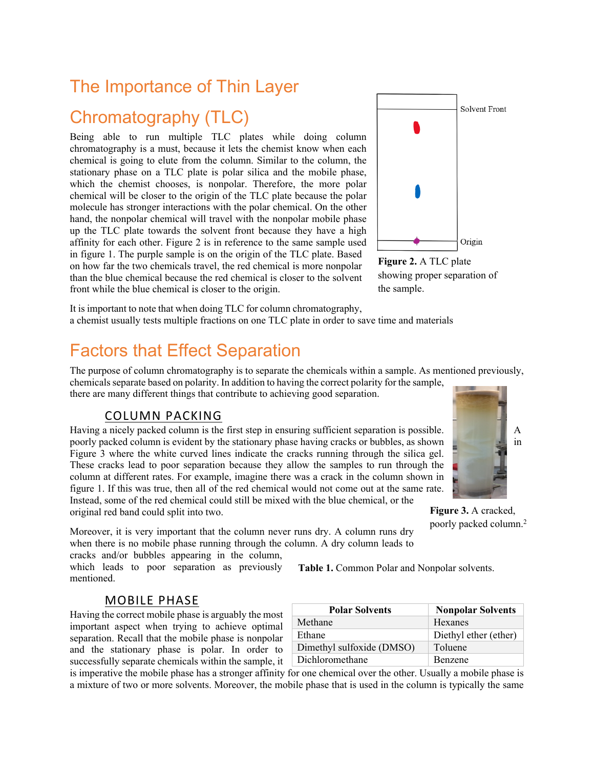## The Importance of Thin Layer

# Chromatography (TLC)

Being able to run multiple TLC plates while doing column chromatography is a must, because it lets the chemist know when each chemical is going to elute from the column. Similar to the column, the stationary phase on a TLC plate is polar silica and the mobile phase, which the chemist chooses, is nonpolar. Therefore, the more polar chemical will be closer to the origin of the TLC plate because the polar molecule has stronger interactions with the polar chemical. On the other hand, the nonpolar chemical will travel with the nonpolar mobile phase up the TLC plate towards the solvent front because they have a high affinity for each other. Figure 2 is in reference to the same sample used in figure 1. The purple sample is on the origin of the TLC plate. Based on how far the two chemicals travel, the red chemical is more nonpolar than the blue chemical because the red chemical is closer to the solvent front while the blue chemical is closer to the origin.



**Figure 2.** A TLC plate showing proper separation of the sample.

It is important to note that when doing TLC for column chromatography, a chemist usually tests multiple fractions on one TLC plate in order to save time and materials

### Factors that Effect Separation

The purpose of column chromatography is to separate the chemicals within a sample. As mentioned previously, chemicals separate based on polarity. In addition to having the correct polarity for the sample,

there are many different things that contribute to achieving good separation.

### COLUMN PACKING

Having a nicely packed column is the first step in ensuring sufficient separation is possible. A poorly packed column is evident by the stationary phase having cracks or bubbles, as shown Figure 3 where the white curved lines indicate the cracks running through the silica gel. These cracks lead to poor separation because they allow the samples to run through the column at different rates. For example, imagine there was a crack in the column shown in figure 1. If this was true, then all of the red chemical would not come out at the same rate. Instead, some of the red chemical could still be mixed with the blue chemical, or the original red band could split into two.

Moreover, it is very important that the column never runs dry. A column runs dry when there is no mobile phase running through the column. A dry column leads to

cracks and/or bubbles appearing in the column, which leads to poor separation as previously mentioned.

**Table 1.** Common Polar and Nonpolar solvents.

#### MOBILE PHASE

Having the correct mobile phase is arguably the most important aspect when trying to achieve optimal separation. Recall that the mobile phase is nonpolar and the stationary phase is polar. In order to successfully separate chemicals within the sample, it

| <b>Polar Solvents</b>     | <b>Nonpolar Solvents</b> |
|---------------------------|--------------------------|
| Methane                   | Hexanes                  |
| Ethane                    | Diethyl ether (ether)    |
| Dimethyl sulfoxide (DMSO) | Toluene                  |
| Dichloromethane           | <b>Benzene</b>           |

is imperative the mobile phase has a stronger affinity for one chemical over the other. Usually a mobile phase is a mixture of two or more solvents. Moreover, the mobile phase that is used in the column is typically the same



**Figure 3.** A cracked, poorly packed column.<sup>2</sup>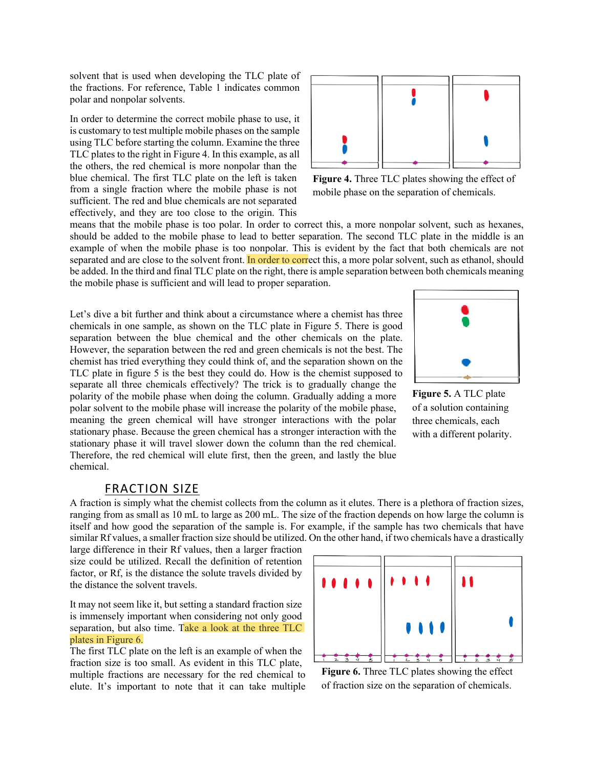solvent that is used when developing the TLC plate of the fractions. For reference, Table 1 indicates common polar and nonpolar solvents.

In order to determine the correct mobile phase to use, it is customary to test multiple mobile phases on the sample using TLC before starting the column. Examine the three TLC plates to the right in Figure 4. In this example, as all the others, the red chemical is more nonpolar than the blue chemical. The first TLC plate on the left is taken from a single fraction where the mobile phase is not sufficient. The red and blue chemicals are not separated effectively, and they are too close to the origin. This



**Figure 4.** Three TLC plates showing the effect of mobile phase on the separation of chemicals.

means that the mobile phase is too polar. In order to correct this, a more nonpolar solvent, such as hexanes, should be added to the mobile phase to lead to better separation. The second TLC plate in the middle is an example of when the mobile phase is too nonpolar. This is evident by the fact that both chemicals are not separated and are close to the solvent front. In order to correct this, a more polar solvent, such as ethanol, should be added. In the third and final TLC plate on the right, there is ample separation between both chemicals meaning the mobile phase is sufficient and will lead to proper separation.

Let's dive a bit further and think about a circumstance where a chemist has three chemicals in one sample, as shown on the TLC plate in Figure 5. There is good separation between the blue chemical and the other chemicals on the plate. However, the separation between the red and green chemicals is not the best. The chemist has tried everything they could think of, and the separation shown on the TLC plate in figure 5 is the best they could do. How is the chemist supposed to separate all three chemicals effectively? The trick is to gradually change the polarity of the mobile phase when doing the column. Gradually adding a more polar solvent to the mobile phase will increase the polarity of the mobile phase, meaning the green chemical will have stronger interactions with the polar stationary phase. Because the green chemical has a stronger interaction with the stationary phase it will travel slower down the column than the red chemical. Therefore, the red chemical will elute first, then the green, and lastly the blue chemical.



**Figure 5.** A TLC plate of a solution containing three chemicals, each with a different polarity.

#### FRACTION SIZE

A fraction is simply what the chemist collects from the column as it elutes. There is a plethora of fraction sizes, ranging from as small as 10 mL to large as 200 mL. The size of the fraction depends on how large the column is itself and how good the separation of the sample is. For example, if the sample has two chemicals that have similar Rf values, a smaller fraction size should be utilized. On the other hand, if two chemicals have a drastically

large difference in their Rf values, then a larger fraction size could be utilized. Recall the definition of retention factor, or Rf, is the distance the solute travels divided by the distance the solvent travels.

It may not seem like it, but setting a standard fraction size is immensely important when considering not only good separation, but also time. Take a look at the three TLC plates in Figure 6.

The first TLC plate on the left is an example of when the fraction size is too small. As evident in this TLC plate, multiple fractions are necessary for the red chemical to elute. It's important to note that it can take multiple



**Figure 6.** Three TLC plates showing the effect of fraction size on the separation of chemicals.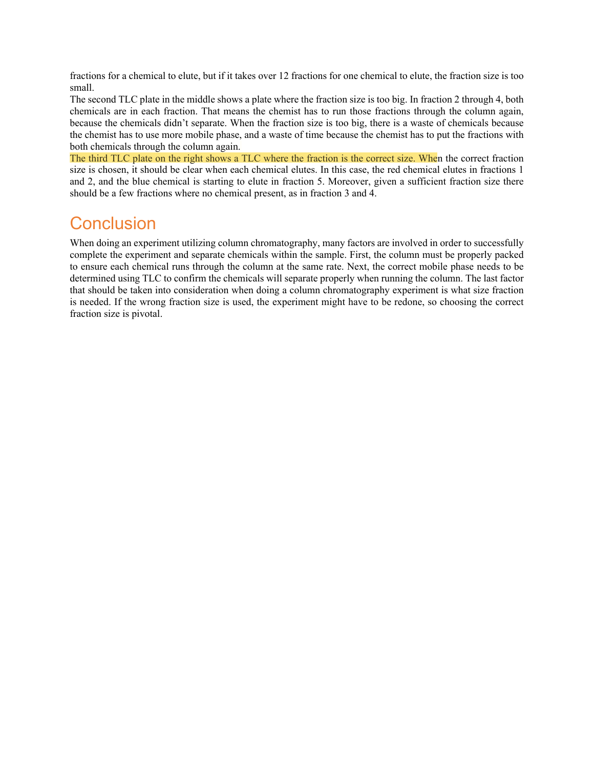fractions for a chemical to elute, but if it takes over 12 fractions for one chemical to elute, the fraction size is too small.

The second TLC plate in the middle shows a plate where the fraction size is too big. In fraction 2 through 4, both chemicals are in each fraction. That means the chemist has to run those fractions through the column again, because the chemicals didn't separate. When the fraction size is too big, there is a waste of chemicals because the chemist has to use more mobile phase, and a waste of time because the chemist has to put the fractions with both chemicals through the column again.

The third TLC plate on the right shows a TLC where the fraction is the correct size. When the correct fraction size is chosen, it should be clear when each chemical elutes. In this case, the red chemical elutes in fractions 1 and 2, and the blue chemical is starting to elute in fraction 5. Moreover, given a sufficient fraction size there should be a few fractions where no chemical present, as in fraction 3 and 4.

### **Conclusion**

When doing an experiment utilizing column chromatography, many factors are involved in order to successfully complete the experiment and separate chemicals within the sample. First, the column must be properly packed to ensure each chemical runs through the column at the same rate. Next, the correct mobile phase needs to be determined using TLC to confirm the chemicals will separate properly when running the column. The last factor that should be taken into consideration when doing a column chromatography experiment is what size fraction is needed. If the wrong fraction size is used, the experiment might have to be redone, so choosing the correct fraction size is pivotal.